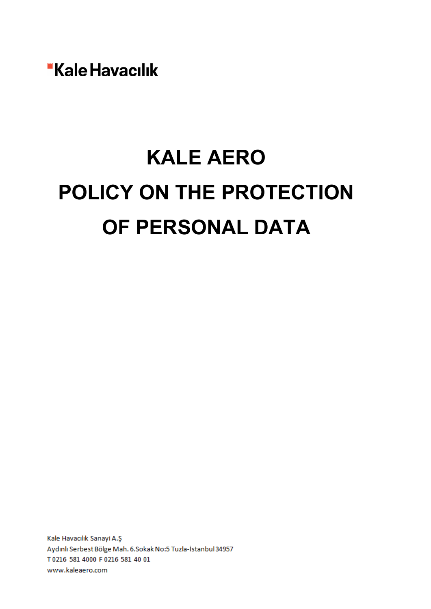"Kale Havacılık

# **KALE AERO POLICY ON THE PROTECTION OF PERSONAL DATA**

Kale Havacılık Sanayi A.Ş Aydınlı Serbest Bölge Mah. 6.Sokak No:5 Tuzla-İstanbul 34957 T0216 581 4000 F0216 581 40 01 www.kaleaero.com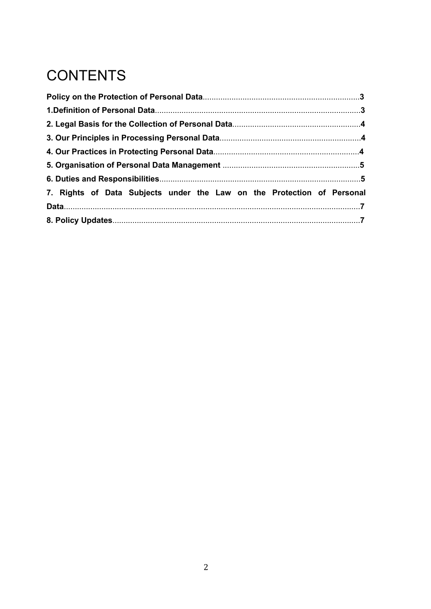# **CONTENTS**

| 7. Rights of Data Subjects under the Law on the Protection of Personal |  |
|------------------------------------------------------------------------|--|
|                                                                        |  |
|                                                                        |  |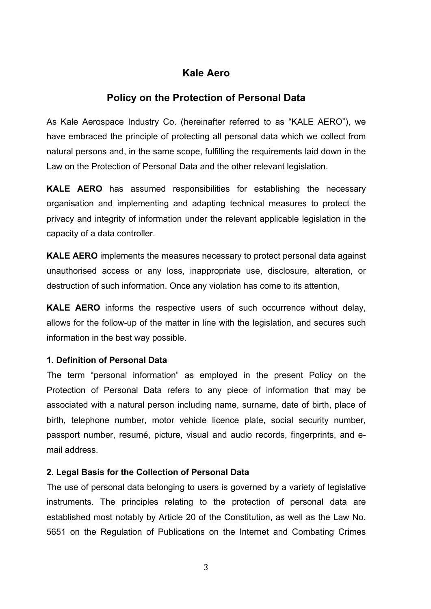# **Kale Aero**

## **Policy on the Protection of Personal Data**

As Kale Aerospace Industry Co. (hereinafter referred to as "KALE AERO"), we have embraced the principle of protecting all personal data which we collect from natural persons and, in the same scope, fulfilling the requirements laid down in the Law on the Protection of Personal Data and the other relevant legislation.

**KALE AERO** has assumed responsibilities for establishing the necessary organisation and implementing and adapting technical measures to protect the privacy and integrity of information under the relevant applicable legislation in the capacity of a data controller.

**KALE AERO** implements the measures necessary to protect personal data against unauthorised access or any loss, inappropriate use, disclosure, alteration, or destruction of such information. Once any violation has come to its attention,

**KALE AERO** informs the respective users of such occurrence without delay, allows for the follow-up of the matter in line with the legislation, and secures such information in the best way possible.

#### **1. Definition of Personal Data**

The term "personal information" as employed in the present Policy on the Protection of Personal Data refers to any piece of information that may be associated with a natural person including name, surname, date of birth, place of birth, telephone number, motor vehicle licence plate, social security number, passport number, resumé, picture, visual and audio records, fingerprints, and email address.

#### **2. Legal Basis for the Collection of Personal Data**

The use of personal data belonging to users is governed by a variety of legislative instruments. The principles relating to the protection of personal data are established most notably by Article 20 of the Constitution, as well as the Law No. 5651 on the Regulation of Publications on the Internet and Combating Crimes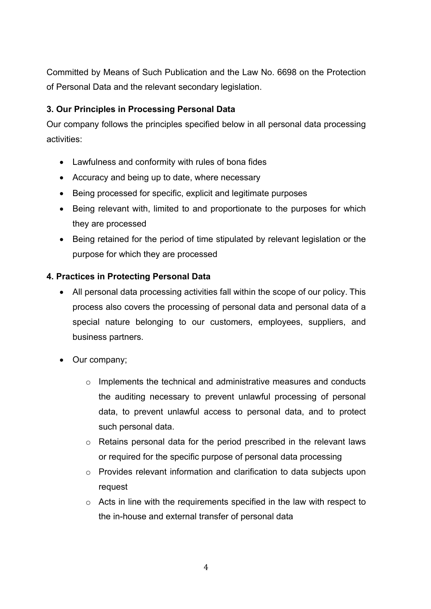Committed by Means of Such Publication and the Law No. 6698 on the Protection of Personal Data and the relevant secondary legislation.

### **3. Our Principles in Processing Personal Data**

Our company follows the principles specified below in all personal data processing activities:

- Lawfulness and conformity with rules of bona fides
- Accuracy and being up to date, where necessary
- Being processed for specific, explicit and legitimate purposes
- Being relevant with, limited to and proportionate to the purposes for which they are processed
- Being retained for the period of time stipulated by relevant legislation or the purpose for which they are processed

#### **4. Practices in Protecting Personal Data**

- All personal data processing activities fall within the scope of our policy. This process also covers the processing of personal data and personal data of a special nature belonging to our customers, employees, suppliers, and business partners.
- Our company;
	- $\circ$  Implements the technical and administrative measures and conducts the auditing necessary to prevent unlawful processing of personal data, to prevent unlawful access to personal data, and to protect such personal data.
	- o Retains personal data for the period prescribed in the relevant laws or required for the specific purpose of personal data processing
	- o Provides relevant information and clarification to data subjects upon request
	- o Acts in line with the requirements specified in the law with respect to the in-house and external transfer of personal data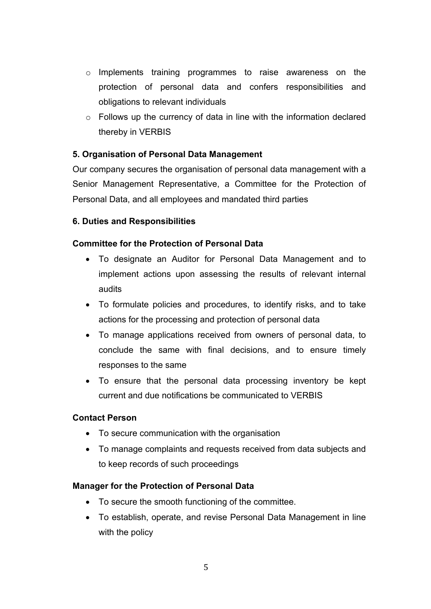- $\circ$  Implements training programmes to raise awareness on the protection of personal data and confers responsibilities and obligations to relevant individuals
- $\circ$  Follows up the currency of data in line with the information declared thereby in VERBIS

#### **5. Organisation of Personal Data Management**

Our company secures the organisation of personal data management with a Senior Management Representative, a Committee for the Protection of Personal Data, and all employees and mandated third parties

#### **6. Duties and Responsibilities**

#### **Committee for the Protection of Personal Data**

- To designate an Auditor for Personal Data Management and to implement actions upon assessing the results of relevant internal audits
- To formulate policies and procedures, to identify risks, and to take actions for the processing and protection of personal data
- To manage applications received from owners of personal data, to conclude the same with final decisions, and to ensure timely responses to the same
- To ensure that the personal data processing inventory be kept current and due notifications be communicated to VERBIS

#### **Contact Person**

- To secure communication with the organisation
- To manage complaints and requests received from data subjects and to keep records of such proceedings

#### **Manager for the Protection of Personal Data**

- To secure the smooth functioning of the committee.
- To establish, operate, and revise Personal Data Management in line with the policy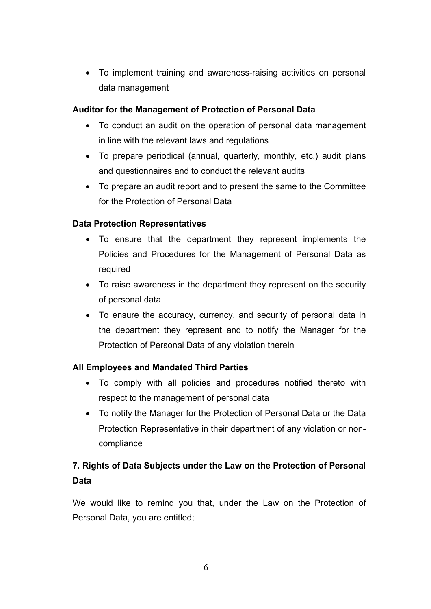• To implement training and awareness-raising activities on personal data management

#### **Auditor for the Management of Protection of Personal Data**

- To conduct an audit on the operation of personal data management in line with the relevant laws and regulations
- To prepare periodical (annual, quarterly, monthly, etc.) audit plans and questionnaires and to conduct the relevant audits
- To prepare an audit report and to present the same to the Committee for the Protection of Personal Data

#### **Data Protection Representatives**

- To ensure that the department they represent implements the Policies and Procedures for the Management of Personal Data as required
- To raise awareness in the department they represent on the security of personal data
- To ensure the accuracy, currency, and security of personal data in the department they represent and to notify the Manager for the Protection of Personal Data of any violation therein

#### **All Employees and Mandated Third Parties**

- To comply with all policies and procedures notified thereto with respect to the management of personal data
- To notify the Manager for the Protection of Personal Data or the Data Protection Representative in their department of any violation or noncompliance

# **7. Rights of Data Subjects under the Law on the Protection of Personal Data**

We would like to remind you that, under the Law on the Protection of Personal Data, you are entitled;